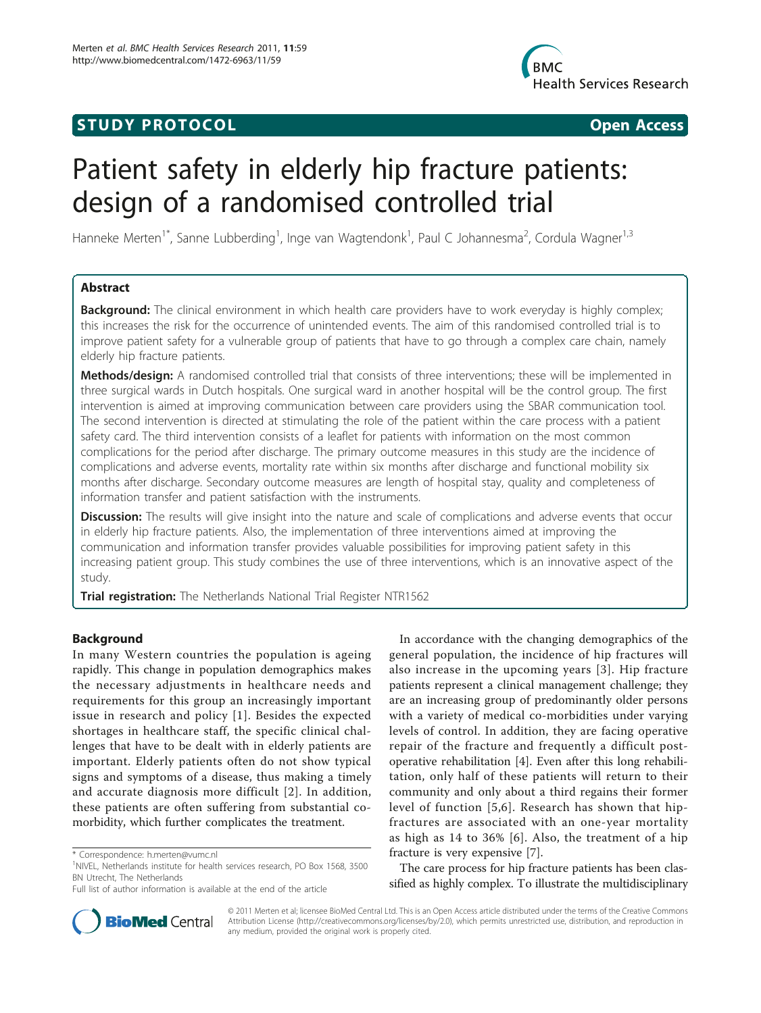# **STUDY PROTOCOL CONSUMING ACCESS**



# Patient safety in elderly hip fracture patients: design of a randomised controlled trial

Hanneke Merten<sup>1\*</sup>, Sanne Lubberding<sup>1</sup>, Inge van Wagtendonk<sup>1</sup>, Paul C Johannesma<sup>2</sup>, Cordula Wagner<sup>1,3</sup>

# Abstract

**Background:** The clinical environment in which health care providers have to work everyday is highly complex; this increases the risk for the occurrence of unintended events. The aim of this randomised controlled trial is to improve patient safety for a vulnerable group of patients that have to go through a complex care chain, namely elderly hip fracture patients.

Methods/design: A randomised controlled trial that consists of three interventions; these will be implemented in three surgical wards in Dutch hospitals. One surgical ward in another hospital will be the control group. The first intervention is aimed at improving communication between care providers using the SBAR communication tool. The second intervention is directed at stimulating the role of the patient within the care process with a patient safety card. The third intervention consists of a leaflet for patients with information on the most common complications for the period after discharge. The primary outcome measures in this study are the incidence of complications and adverse events, mortality rate within six months after discharge and functional mobility six months after discharge. Secondary outcome measures are length of hospital stay, quality and completeness of information transfer and patient satisfaction with the instruments.

Discussion: The results will give insight into the nature and scale of complications and adverse events that occur in elderly hip fracture patients. Also, the implementation of three interventions aimed at improving the communication and information transfer provides valuable possibilities for improving patient safety in this increasing patient group. This study combines the use of three interventions, which is an innovative aspect of the study.

Trial registration: The Netherlands National Trial Register [NTR1562](http://www.trialregister.nl/trialreg/admin/rctview.asp?TC=1562)

## Background

In many Western countries the population is ageing rapidly. This change in population demographics makes the necessary adjustments in healthcare needs and requirements for this group an increasingly important issue in research and policy [\[1\]](#page-10-0). Besides the expected shortages in healthcare staff, the specific clinical challenges that have to be dealt with in elderly patients are important. Elderly patients often do not show typical signs and symptoms of a disease, thus making a timely and accurate diagnosis more difficult [[2\]](#page-10-0). In addition, these patients are often suffering from substantial comorbidity, which further complicates the treatment.

In accordance with the changing demographics of the general population, the incidence of hip fractures will also increase in the upcoming years [[3](#page-10-0)]. Hip fracture patients represent a clinical management challenge; they are an increasing group of predominantly older persons with a variety of medical co-morbidities under varying levels of control. In addition, they are facing operative repair of the fracture and frequently a difficult postoperative rehabilitation [\[4](#page-10-0)]. Even after this long rehabilitation, only half of these patients will return to their community and only about a third regains their former level of function [[5,6\]](#page-10-0). Research has shown that hipfractures are associated with an one-year mortality as high as 14 to 36% [[6](#page-10-0)]. Also, the treatment of a hip fracture is very expensive [\[7\]](#page-10-0).

The care process for hip fracture patients has been classified as highly complex. To illustrate the multidisciplinary



© 2011 Merten et al; licensee BioMed Central Ltd. This is an Open Access article distributed under the terms of the Creative Commons Attribution License [\(http://creativecommons.org/licenses/by/2.0](http://creativecommons.org/licenses/by/2.0)), which permits unrestricted use, distribution, and reproduction in any medium, provided the original work is properly cited.

<sup>\*</sup> Correspondence: [h.merten@vumc.nl](mailto:h.merten@vumc.nl)

<sup>&</sup>lt;sup>1</sup>NIVEL, Netherlands institute for health services research, PO Box 1568, 3500 BN Utrecht, The Netherlands

Full list of author information is available at the end of the article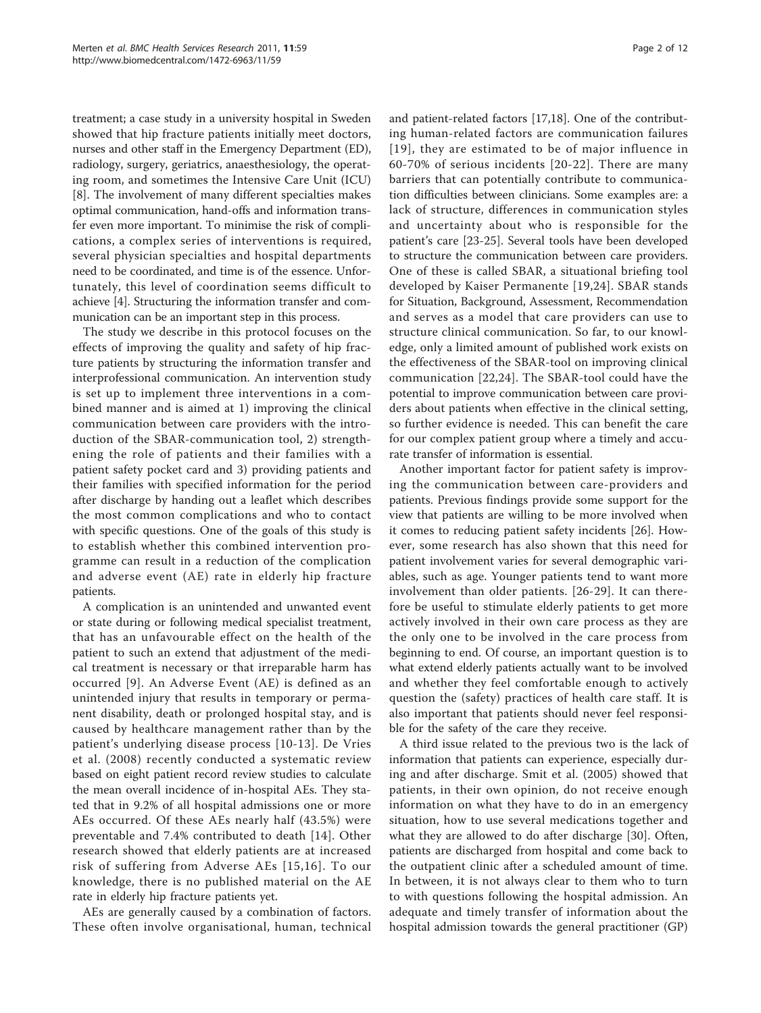treatment; a case study in a university hospital in Sweden showed that hip fracture patients initially meet doctors, nurses and other staff in the Emergency Department (ED), radiology, surgery, geriatrics, anaesthesiology, the operating room, and sometimes the Intensive Care Unit (ICU) [[8\]](#page-10-0). The involvement of many different specialties makes optimal communication, hand-offs and information transfer even more important. To minimise the risk of complications, a complex series of interventions is required, several physician specialties and hospital departments need to be coordinated, and time is of the essence. Unfortunately, this level of coordination seems difficult to achieve [[4\]](#page-10-0). Structuring the information transfer and communication can be an important step in this process.

The study we describe in this protocol focuses on the effects of improving the quality and safety of hip fracture patients by structuring the information transfer and interprofessional communication. An intervention study is set up to implement three interventions in a combined manner and is aimed at 1) improving the clinical communication between care providers with the introduction of the SBAR-communication tool, 2) strengthening the role of patients and their families with a patient safety pocket card and 3) providing patients and their families with specified information for the period after discharge by handing out a leaflet which describes the most common complications and who to contact with specific questions. One of the goals of this study is to establish whether this combined intervention programme can result in a reduction of the complication and adverse event (AE) rate in elderly hip fracture patients.

A complication is an unintended and unwanted event or state during or following medical specialist treatment, that has an unfavourable effect on the health of the patient to such an extend that adjustment of the medical treatment is necessary or that irreparable harm has occurred [[9](#page-10-0)]. An Adverse Event (AE) is defined as an unintended injury that results in temporary or permanent disability, death or prolonged hospital stay, and is caused by healthcare management rather than by the patient's underlying disease process [[10](#page-10-0)-[13](#page-10-0)]. De Vries et al. (2008) recently conducted a systematic review based on eight patient record review studies to calculate the mean overall incidence of in-hospital AEs. They stated that in 9.2% of all hospital admissions one or more AEs occurred. Of these AEs nearly half (43.5%) were preventable and 7.4% contributed to death [\[14\]](#page-10-0). Other research showed that elderly patients are at increased risk of suffering from Adverse AEs [[15,16\]](#page-10-0). To our knowledge, there is no published material on the AE rate in elderly hip fracture patients yet.

AEs are generally caused by a combination of factors. These often involve organisational, human, technical and patient-related factors [\[17,18\]](#page-10-0). One of the contributing human-related factors are communication failures [[19](#page-10-0)], they are estimated to be of major influence in 60-70% of serious incidents [[20-22\]](#page-10-0). There are many barriers that can potentially contribute to communication difficulties between clinicians. Some examples are: a lack of structure, differences in communication styles and uncertainty about who is responsible for the patient's care [[23](#page-10-0)-[25\]](#page-10-0). Several tools have been developed to structure the communication between care providers. One of these is called SBAR, a situational briefing tool developed by Kaiser Permanente [[19](#page-10-0),[24\]](#page-10-0). SBAR stands for Situation, Background, Assessment, Recommendation and serves as a model that care providers can use to structure clinical communication. So far, to our knowledge, only a limited amount of published work exists on the effectiveness of the SBAR-tool on improving clinical communication [[22,24](#page-10-0)]. The SBAR-tool could have the potential to improve communication between care providers about patients when effective in the clinical setting, so further evidence is needed. This can benefit the care for our complex patient group where a timely and accurate transfer of information is essential.

Another important factor for patient safety is improving the communication between care-providers and patients. Previous findings provide some support for the view that patients are willing to be more involved when it comes to reducing patient safety incidents [[26\]](#page-10-0). However, some research has also shown that this need for patient involvement varies for several demographic variables, such as age. Younger patients tend to want more involvement than older patients. [[26](#page-10-0)-[29](#page-10-0)]. It can therefore be useful to stimulate elderly patients to get more actively involved in their own care process as they are the only one to be involved in the care process from beginning to end. Of course, an important question is to what extend elderly patients actually want to be involved and whether they feel comfortable enough to actively question the (safety) practices of health care staff. It is also important that patients should never feel responsible for the safety of the care they receive.

A third issue related to the previous two is the lack of information that patients can experience, especially during and after discharge. Smit et al. (2005) showed that patients, in their own opinion, do not receive enough information on what they have to do in an emergency situation, how to use several medications together and what they are allowed to do after discharge [[30\]](#page-10-0). Often, patients are discharged from hospital and come back to the outpatient clinic after a scheduled amount of time. In between, it is not always clear to them who to turn to with questions following the hospital admission. An adequate and timely transfer of information about the hospital admission towards the general practitioner (GP)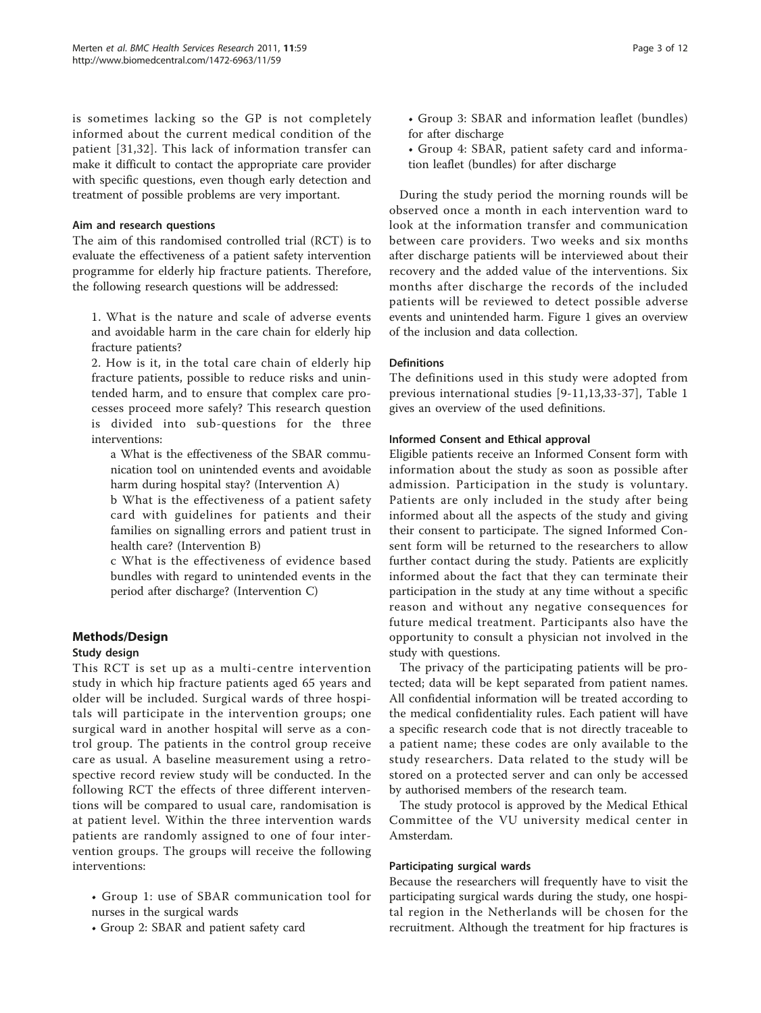is sometimes lacking so the GP is not completely informed about the current medical condition of the patient [[31,32](#page-10-0)]. This lack of information transfer can make it difficult to contact the appropriate care provider with specific questions, even though early detection and treatment of possible problems are very important.

#### Aim and research questions

The aim of this randomised controlled trial (RCT) is to evaluate the effectiveness of a patient safety intervention programme for elderly hip fracture patients. Therefore, the following research questions will be addressed:

1. What is the nature and scale of adverse events and avoidable harm in the care chain for elderly hip fracture patients?

2. How is it, in the total care chain of elderly hip fracture patients, possible to reduce risks and unintended harm, and to ensure that complex care processes proceed more safely? This research question is divided into sub-questions for the three interventions:

a What is the effectiveness of the SBAR communication tool on unintended events and avoidable harm during hospital stay? (Intervention A)

b What is the effectiveness of a patient safety card with guidelines for patients and their families on signalling errors and patient trust in health care? (Intervention B)

c What is the effectiveness of evidence based bundles with regard to unintended events in the period after discharge? (Intervention C)

# Methods/Design

## Study design

This RCT is set up as a multi-centre intervention study in which hip fracture patients aged 65 years and older will be included. Surgical wards of three hospitals will participate in the intervention groups; one surgical ward in another hospital will serve as a control group. The patients in the control group receive care as usual. A baseline measurement using a retrospective record review study will be conducted. In the following RCT the effects of three different interventions will be compared to usual care, randomisation is at patient level. Within the three intervention wards patients are randomly assigned to one of four intervention groups. The groups will receive the following interventions:

• Group 1: use of SBAR communication tool for nurses in the surgical wards

• Group 2: SBAR and patient safety card

- Group 3: SBAR and information leaflet (bundles) for after discharge
- Group 4: SBAR, patient safety card and information leaflet (bundles) for after discharge

During the study period the morning rounds will be observed once a month in each intervention ward to look at the information transfer and communication between care providers. Two weeks and six months after discharge patients will be interviewed about their recovery and the added value of the interventions. Six months after discharge the records of the included patients will be reviewed to detect possible adverse events and unintended harm. Figure [1](#page-3-0) gives an overview of the inclusion and data collection.

## Definitions

The definitions used in this study were adopted from previous international studies [[9](#page-10-0)-[11,13,33](#page-10-0)-[37](#page-10-0)], Table [1](#page-4-0) gives an overview of the used definitions.

## Informed Consent and Ethical approval

Eligible patients receive an Informed Consent form with information about the study as soon as possible after admission. Participation in the study is voluntary. Patients are only included in the study after being informed about all the aspects of the study and giving their consent to participate. The signed Informed Consent form will be returned to the researchers to allow further contact during the study. Patients are explicitly informed about the fact that they can terminate their participation in the study at any time without a specific reason and without any negative consequences for future medical treatment. Participants also have the opportunity to consult a physician not involved in the study with questions.

The privacy of the participating patients will be protected; data will be kept separated from patient names. All confidential information will be treated according to the medical confidentiality rules. Each patient will have a specific research code that is not directly traceable to a patient name; these codes are only available to the study researchers. Data related to the study will be stored on a protected server and can only be accessed by authorised members of the research team.

The study protocol is approved by the Medical Ethical Committee of the VU university medical center in Amsterdam.

## Participating surgical wards

Because the researchers will frequently have to visit the participating surgical wards during the study, one hospital region in the Netherlands will be chosen for the recruitment. Although the treatment for hip fractures is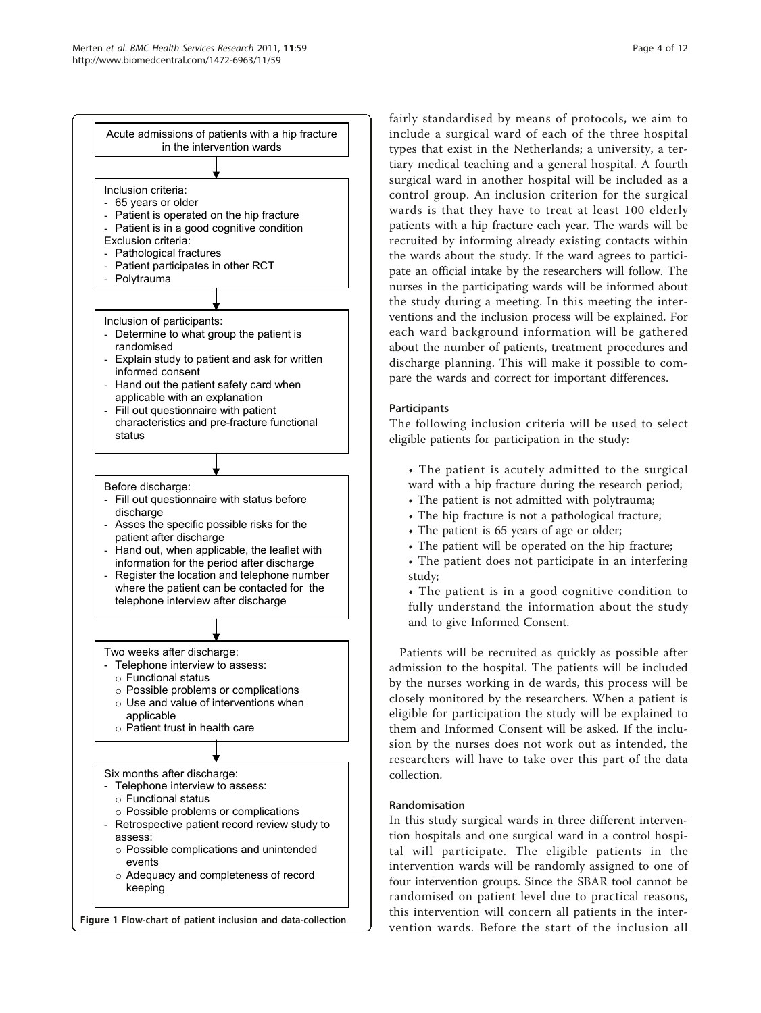<span id="page-3-0"></span>

fairly standardised by means of protocols, we aim to include a surgical ward of each of the three hospital types that exist in the Netherlands; a university, a tertiary medical teaching and a general hospital. A fourth surgical ward in another hospital will be included as a control group. An inclusion criterion for the surgical wards is that they have to treat at least 100 elderly patients with a hip fracture each year. The wards will be recruited by informing already existing contacts within the wards about the study. If the ward agrees to participate an official intake by the researchers will follow. The nurses in the participating wards will be informed about the study during a meeting. In this meeting the interventions and the inclusion process will be explained. For each ward background information will be gathered about the number of patients, treatment procedures and discharge planning. This will make it possible to compare the wards and correct for important differences.

## Participants

The following inclusion criteria will be used to select eligible patients for participation in the study:

- The patient is acutely admitted to the surgical ward with a hip fracture during the research period;
- The patient is not admitted with polytrauma;
- The hip fracture is not a pathological fracture;
- The patient is 65 years of age or older;
- The patient will be operated on the hip fracture;
- The patient does not participate in an interfering study;

• The patient is in a good cognitive condition to fully understand the information about the study and to give Informed Consent.

Patients will be recruited as quickly as possible after admission to the hospital. The patients will be included by the nurses working in de wards, this process will be closely monitored by the researchers. When a patient is eligible for participation the study will be explained to them and Informed Consent will be asked. If the inclusion by the nurses does not work out as intended, the researchers will have to take over this part of the data collection.

#### Randomisation

In this study surgical wards in three different intervention hospitals and one surgical ward in a control hospital will participate. The eligible patients in the intervention wards will be randomly assigned to one of four intervention groups. Since the SBAR tool cannot be randomised on patient level due to practical reasons, this intervention will concern all patients in the intervention wards. Before the start of the inclusion all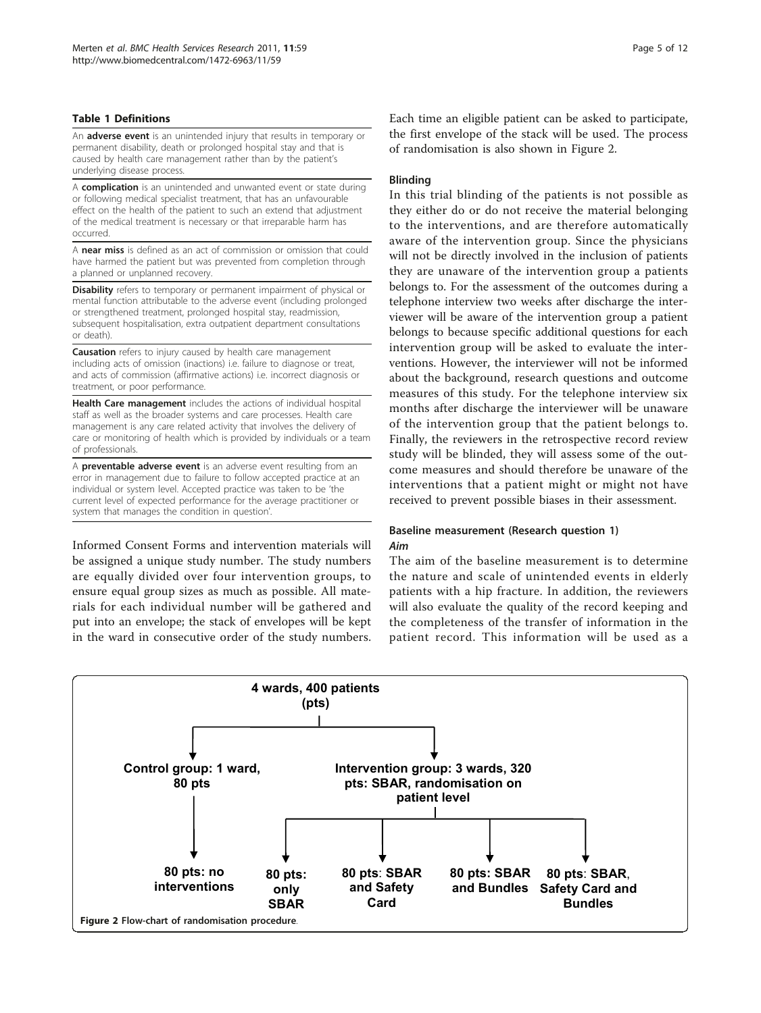#### <span id="page-4-0"></span>Table 1 Definitions

An **adverse event** is an unintended injury that results in temporary or permanent disability, death or prolonged hospital stay and that is caused by health care management rather than by the patient's underlying disease process.

A **complication** is an unintended and unwanted event or state during or following medical specialist treatment, that has an unfavourable effect on the health of the patient to such an extend that adjustment of the medical treatment is necessary or that irreparable harm has occurred.

A **near miss** is defined as an act of commission or omission that could have harmed the patient but was prevented from completion through a planned or unplanned recovery.

Disability refers to temporary or permanent impairment of physical or mental function attributable to the adverse event (including prolonged or strengthened treatment, prolonged hospital stay, readmission, subsequent hospitalisation, extra outpatient department consultations or death).

Causation refers to injury caused by health care management including acts of omission (inactions) i.e. failure to diagnose or treat, and acts of commission (affirmative actions) i.e. incorrect diagnosis or treatment, or poor performance.

Health Care management includes the actions of individual hospital staff as well as the broader systems and care processes. Health care management is any care related activity that involves the delivery of care or monitoring of health which is provided by individuals or a team of professionals.

A **preventable adverse event** is an adverse event resulting from an error in management due to failure to follow accepted practice at an individual or system level. Accepted practice was taken to be 'the current level of expected performance for the average practitioner or system that manages the condition in question'.

Informed Consent Forms and intervention materials will be assigned a unique study number. The study numbers are equally divided over four intervention groups, to ensure equal group sizes as much as possible. All materials for each individual number will be gathered and put into an envelope; the stack of envelopes will be kept in the ward in consecutive order of the study numbers. Each time an eligible patient can be asked to participate, the first envelope of the stack will be used. The process of randomisation is also shown in Figure 2.

#### Blinding

In this trial blinding of the patients is not possible as they either do or do not receive the material belonging to the interventions, and are therefore automatically aware of the intervention group. Since the physicians will not be directly involved in the inclusion of patients they are unaware of the intervention group a patients belongs to. For the assessment of the outcomes during a telephone interview two weeks after discharge the interviewer will be aware of the intervention group a patient belongs to because specific additional questions for each intervention group will be asked to evaluate the interventions. However, the interviewer will not be informed about the background, research questions and outcome measures of this study. For the telephone interview six months after discharge the interviewer will be unaware of the intervention group that the patient belongs to. Finally, the reviewers in the retrospective record review study will be blinded, they will assess some of the outcome measures and should therefore be unaware of the interventions that a patient might or might not have received to prevent possible biases in their assessment.

## Baseline measurement (Research question 1) Aim

The aim of the baseline measurement is to determine the nature and scale of unintended events in elderly patients with a hip fracture. In addition, the reviewers will also evaluate the quality of the record keeping and the completeness of the transfer of information in the patient record. This information will be used as a

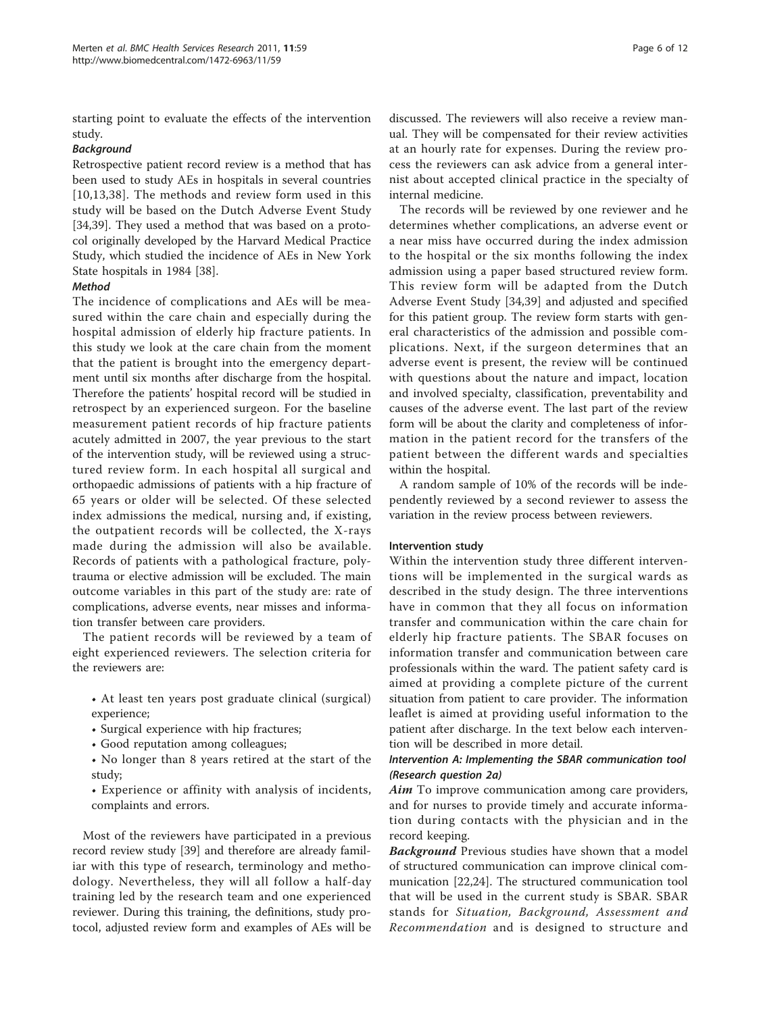starting point to evaluate the effects of the intervention study.

#### Background

Retrospective patient record review is a method that has been used to study AEs in hospitals in several countries [[10](#page-10-0),[13,38\]](#page-10-0). The methods and review form used in this study will be based on the Dutch Adverse Event Study [[34,39\]](#page-10-0). They used a method that was based on a protocol originally developed by the Harvard Medical Practice Study, which studied the incidence of AEs in New York State hospitals in 1984 [\[38\]](#page-10-0).

#### Method

The incidence of complications and AEs will be measured within the care chain and especially during the hospital admission of elderly hip fracture patients. In this study we look at the care chain from the moment that the patient is brought into the emergency department until six months after discharge from the hospital. Therefore the patients' hospital record will be studied in retrospect by an experienced surgeon. For the baseline measurement patient records of hip fracture patients acutely admitted in 2007, the year previous to the start of the intervention study, will be reviewed using a structured review form. In each hospital all surgical and orthopaedic admissions of patients with a hip fracture of 65 years or older will be selected. Of these selected index admissions the medical, nursing and, if existing, the outpatient records will be collected, the X-rays made during the admission will also be available. Records of patients with a pathological fracture, polytrauma or elective admission will be excluded. The main outcome variables in this part of the study are: rate of complications, adverse events, near misses and information transfer between care providers.

The patient records will be reviewed by a team of eight experienced reviewers. The selection criteria for the reviewers are:

- At least ten years post graduate clinical (surgical) experience;
- Surgical experience with hip fractures;
- Good reputation among colleagues;
- No longer than 8 years retired at the start of the study;
- Experience or affinity with analysis of incidents, complaints and errors.

Most of the reviewers have participated in a previous record review study [\[39\]](#page-10-0) and therefore are already familiar with this type of research, terminology and methodology. Nevertheless, they will all follow a half-day training led by the research team and one experienced reviewer. During this training, the definitions, study protocol, adjusted review form and examples of AEs will be

discussed. The reviewers will also receive a review manual. They will be compensated for their review activities at an hourly rate for expenses. During the review process the reviewers can ask advice from a general internist about accepted clinical practice in the specialty of internal medicine.

The records will be reviewed by one reviewer and he determines whether complications, an adverse event or a near miss have occurred during the index admission to the hospital or the six months following the index admission using a paper based structured review form. This review form will be adapted from the Dutch Adverse Event Study [\[34](#page-10-0),[39\]](#page-10-0) and adjusted and specified for this patient group. The review form starts with general characteristics of the admission and possible complications. Next, if the surgeon determines that an adverse event is present, the review will be continued with questions about the nature and impact, location and involved specialty, classification, preventability and causes of the adverse event. The last part of the review form will be about the clarity and completeness of information in the patient record for the transfers of the patient between the different wards and specialties within the hospital.

A random sample of 10% of the records will be independently reviewed by a second reviewer to assess the variation in the review process between reviewers.

#### Intervention study

Within the intervention study three different interventions will be implemented in the surgical wards as described in the study design. The three interventions have in common that they all focus on information transfer and communication within the care chain for elderly hip fracture patients. The SBAR focuses on information transfer and communication between care professionals within the ward. The patient safety card is aimed at providing a complete picture of the current situation from patient to care provider. The information leaflet is aimed at providing useful information to the patient after discharge. In the text below each intervention will be described in more detail.

## Intervention A: Implementing the SBAR communication tool (Research question 2a)

Aim To improve communication among care providers, and for nurses to provide timely and accurate information during contacts with the physician and in the record keeping.

**Background** Previous studies have shown that a model of structured communication can improve clinical communication [\[22,24](#page-10-0)]. The structured communication tool that will be used in the current study is SBAR. SBAR stands for Situation, Background, Assessment and Recommendation and is designed to structure and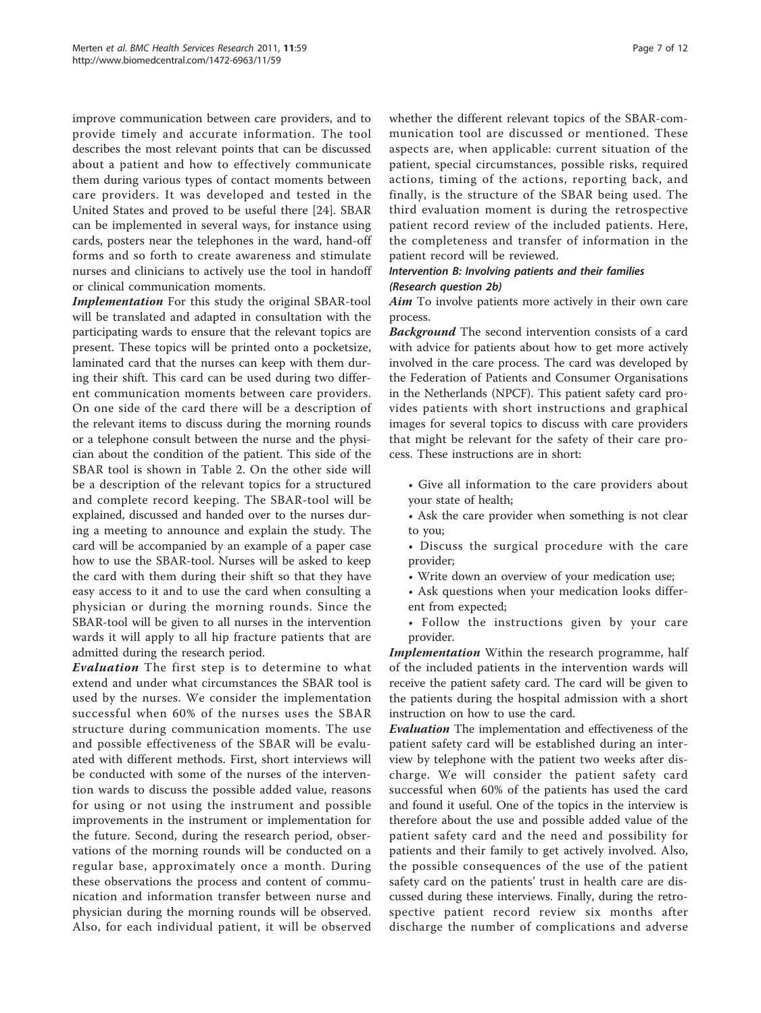improve communication between care providers, and to provide timely and accurate information. The tool describes the most relevant points that can be discussed about a patient and how to effectively communicate them during various types of contact moments between care providers. It was developed and tested in the United States and proved to be useful there [[24\]](#page-10-0). SBAR can be implemented in several ways, for instance using cards, posters near the telephones in the ward, hand-off forms and so forth to create awareness and stimulate nurses and clinicians to actively use the tool in handoff or clinical communication moments.

Implementation For this study the original SBAR-tool will be translated and adapted in consultation with the participating wards to ensure that the relevant topics are present. These topics will be printed onto a pocketsize, laminated card that the nurses can keep with them during their shift. This card can be used during two different communication moments between care providers. On one side of the card there will be a description of the relevant items to discuss during the morning rounds or a telephone consult between the nurse and the physician about the condition of the patient. This side of the SBAR tool is shown in Table [2.](#page-7-0) On the other side will be a description of the relevant topics for a structured and complete record keeping. The SBAR-tool will be explained, discussed and handed over to the nurses during a meeting to announce and explain the study. The card will be accompanied by an example of a paper case how to use the SBAR-tool. Nurses will be asked to keep the card with them during their shift so that they have easy access to it and to use the card when consulting a physician or during the morning rounds. Since the SBAR-tool will be given to all nurses in the intervention wards it will apply to all hip fracture patients that are admitted during the research period.

Evaluation The first step is to determine to what extend and under what circumstances the SBAR tool is used by the nurses. We consider the implementation successful when 60% of the nurses uses the SBAR structure during communication moments. The use and possible effectiveness of the SBAR will be evaluated with different methods. First, short interviews will be conducted with some of the nurses of the intervention wards to discuss the possible added value, reasons for using or not using the instrument and possible improvements in the instrument or implementation for the future. Second, during the research period, observations of the morning rounds will be conducted on a regular base, approximately once a month. During these observations the process and content of communication and information transfer between nurse and physician during the morning rounds will be observed. Also, for each individual patient, it will be observed whether the different relevant topics of the SBAR-communication tool are discussed or mentioned. These aspects are, when applicable: current situation of the patient, special circumstances, possible risks, required actions, timing of the actions, reporting back, and finally, is the structure of the SBAR being used. The third evaluation moment is during the retrospective patient record review of the included patients. Here, the completeness and transfer of information in the patient record will be reviewed.

# Intervention B: Involving patients and their families (Research question 2b)

Aim To involve patients more actively in their own care process.

**Background** The second intervention consists of a card with advice for patients about how to get more actively involved in the care process. The card was developed by the Federation of Patients and Consumer Organisations in the Netherlands (NPCF). This patient safety card provides patients with short instructions and graphical images for several topics to discuss with care providers that might be relevant for the safety of their care process. These instructions are in short:

- Give all information to the care providers about your state of health;
- Ask the care provider when something is not clear to you;
- Discuss the surgical procedure with the care provider;
- Write down an overview of your medication use;
- Ask questions when your medication looks different from expected;
- Follow the instructions given by your care provider.

Implementation Within the research programme, half of the included patients in the intervention wards will receive the patient safety card. The card will be given to the patients during the hospital admission with a short instruction on how to use the card.

Evaluation The implementation and effectiveness of the patient safety card will be established during an interview by telephone with the patient two weeks after discharge. We will consider the patient safety card successful when 60% of the patients has used the card and found it useful. One of the topics in the interview is therefore about the use and possible added value of the patient safety card and the need and possibility for patients and their family to get actively involved. Also, the possible consequences of the use of the patient safety card on the patients' trust in health care are discussed during these interviews. Finally, during the retrospective patient record review six months after discharge the number of complications and adverse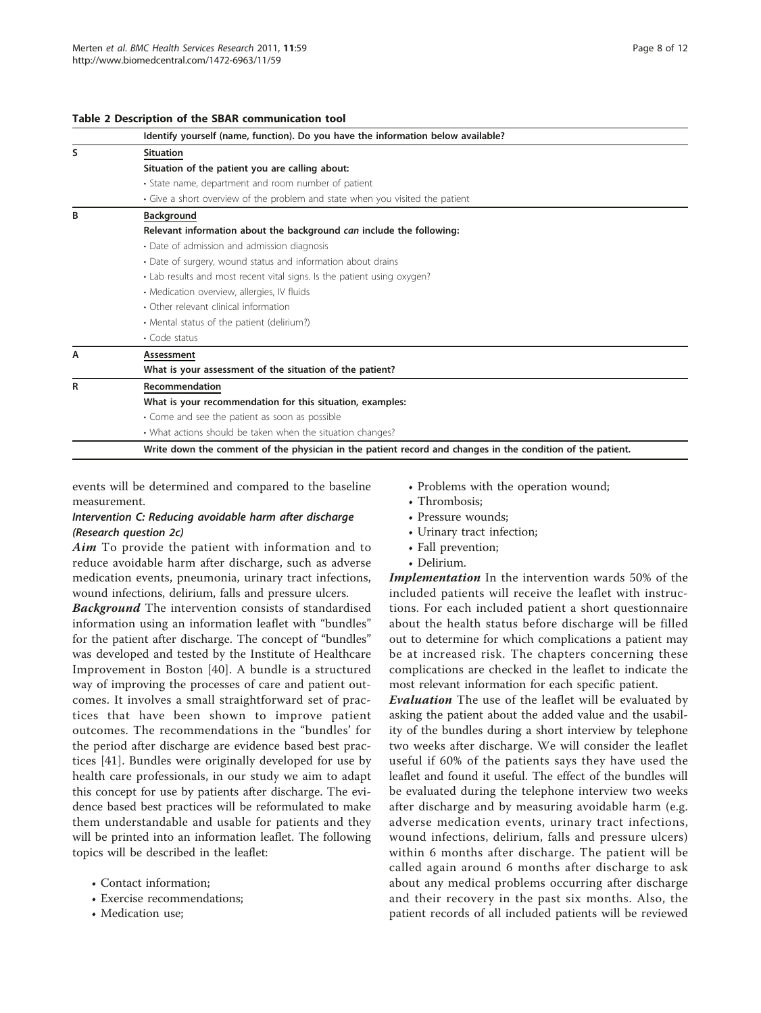#### <span id="page-7-0"></span>Table 2 Description of the SBAR communication tool

|   | Identify yourself (name, function). Do you have the information below available?                           |
|---|------------------------------------------------------------------------------------------------------------|
| S | <b>Situation</b>                                                                                           |
|   | Situation of the patient you are calling about:                                                            |
|   | • State name, department and room number of patient                                                        |
|   | • Give a short overview of the problem and state when you visited the patient                              |
| В | <b>Background</b>                                                                                          |
|   | Relevant information about the background can include the following:                                       |
|   | • Date of admission and admission diagnosis                                                                |
|   | • Date of surgery, wound status and information about drains                                               |
|   | • Lab results and most recent vital signs. Is the patient using oxygen?                                    |
|   | • Medication overview, allergies, IV fluids                                                                |
|   | • Other relevant clinical information                                                                      |
|   | • Mental status of the patient (delirium?)                                                                 |
|   | • Code status                                                                                              |
| А | Assessment                                                                                                 |
|   | What is your assessment of the situation of the patient?                                                   |
| R | Recommendation                                                                                             |
|   | What is your recommendation for this situation, examples:                                                  |
|   | • Come and see the patient as soon as possible                                                             |
|   | • What actions should be taken when the situation changes?                                                 |
|   | Write down the comment of the physician in the patient record and changes in the condition of the patient. |

events will be determined and compared to the baseline measurement.

# Intervention C: Reducing avoidable harm after discharge (Research question 2c)

Aim To provide the patient with information and to reduce avoidable harm after discharge, such as adverse medication events, pneumonia, urinary tract infections, wound infections, delirium, falls and pressure ulcers.

Background The intervention consists of standardised information using an information leaflet with "bundles" for the patient after discharge. The concept of "bundles" was developed and tested by the Institute of Healthcare Improvement in Boston [[40](#page-10-0)]. A bundle is a structured way of improving the processes of care and patient outcomes. It involves a small straightforward set of practices that have been shown to improve patient outcomes. The recommendations in the "bundles' for the period after discharge are evidence based best practices [\[41](#page-10-0)]. Bundles were originally developed for use by health care professionals, in our study we aim to adapt this concept for use by patients after discharge. The evidence based best practices will be reformulated to make them understandable and usable for patients and they will be printed into an information leaflet. The following topics will be described in the leaflet:

- Contact information;
- Exercise recommendations;
- Medication use;
- Problems with the operation wound;
- Thrombosis;
- Pressure wounds;
- Urinary tract infection;
- Fall prevention;
- Delirium.

Implementation In the intervention wards 50% of the included patients will receive the leaflet with instructions. For each included patient a short questionnaire about the health status before discharge will be filled out to determine for which complications a patient may be at increased risk. The chapters concerning these complications are checked in the leaflet to indicate the most relevant information for each specific patient.

Evaluation The use of the leaflet will be evaluated by asking the patient about the added value and the usability of the bundles during a short interview by telephone two weeks after discharge. We will consider the leaflet useful if 60% of the patients says they have used the leaflet and found it useful. The effect of the bundles will be evaluated during the telephone interview two weeks after discharge and by measuring avoidable harm (e.g. adverse medication events, urinary tract infections, wound infections, delirium, falls and pressure ulcers) within 6 months after discharge. The patient will be called again around 6 months after discharge to ask about any medical problems occurring after discharge and their recovery in the past six months. Also, the patient records of all included patients will be reviewed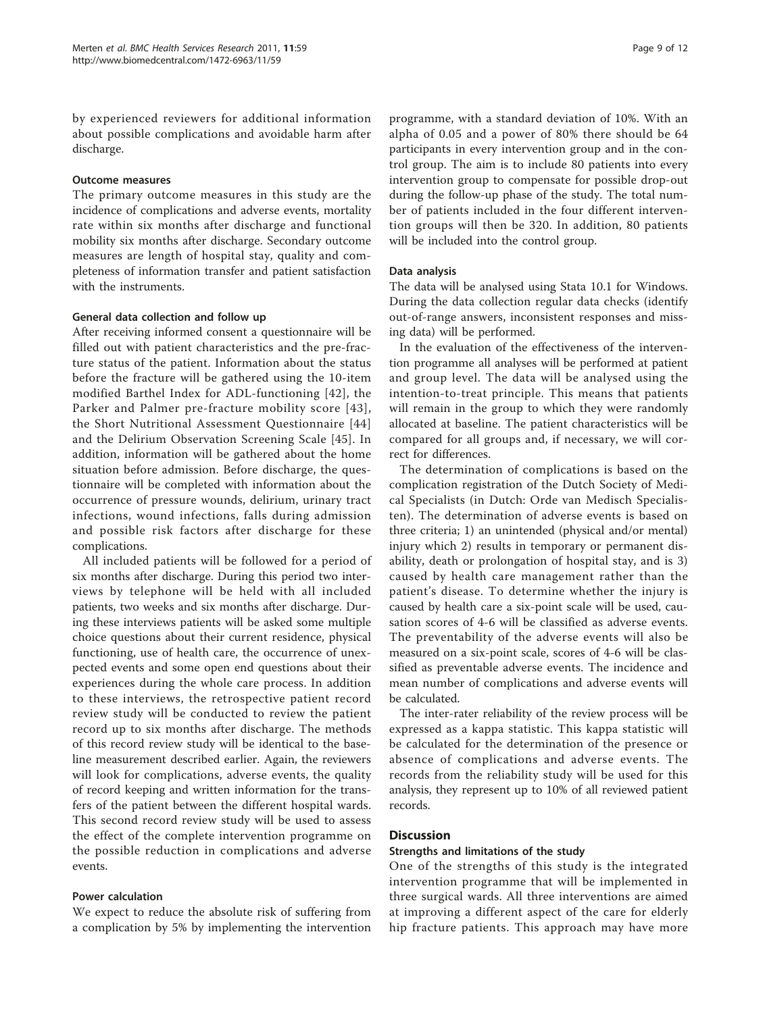by experienced reviewers for additional information about possible complications and avoidable harm after discharge.

#### Outcome measures

The primary outcome measures in this study are the incidence of complications and adverse events, mortality rate within six months after discharge and functional mobility six months after discharge. Secondary outcome measures are length of hospital stay, quality and completeness of information transfer and patient satisfaction with the instruments.

## General data collection and follow up

After receiving informed consent a questionnaire will be filled out with patient characteristics and the pre-fracture status of the patient. Information about the status before the fracture will be gathered using the 10-item modified Barthel Index for ADL-functioning [\[42\]](#page-10-0), the Parker and Palmer pre-fracture mobility score [[43\]](#page-10-0), the Short Nutritional Assessment Questionnaire [[44](#page-10-0)] and the Delirium Observation Screening Scale [\[45\]](#page-10-0). In addition, information will be gathered about the home situation before admission. Before discharge, the questionnaire will be completed with information about the occurrence of pressure wounds, delirium, urinary tract infections, wound infections, falls during admission and possible risk factors after discharge for these complications.

All included patients will be followed for a period of six months after discharge. During this period two interviews by telephone will be held with all included patients, two weeks and six months after discharge. During these interviews patients will be asked some multiple choice questions about their current residence, physical functioning, use of health care, the occurrence of unexpected events and some open end questions about their experiences during the whole care process. In addition to these interviews, the retrospective patient record review study will be conducted to review the patient record up to six months after discharge. The methods of this record review study will be identical to the baseline measurement described earlier. Again, the reviewers will look for complications, adverse events, the quality of record keeping and written information for the transfers of the patient between the different hospital wards. This second record review study will be used to assess the effect of the complete intervention programme on the possible reduction in complications and adverse events.

# Power calculation

We expect to reduce the absolute risk of suffering from a complication by 5% by implementing the intervention

programme, with a standard deviation of 10%. With an alpha of 0.05 and a power of 80% there should be 64 participants in every intervention group and in the control group. The aim is to include 80 patients into every intervention group to compensate for possible drop-out during the follow-up phase of the study. The total number of patients included in the four different intervention groups will then be 320. In addition, 80 patients will be included into the control group.

# Data analysis

The data will be analysed using Stata 10.1 for Windows. During the data collection regular data checks (identify out-of-range answers, inconsistent responses and missing data) will be performed.

In the evaluation of the effectiveness of the intervention programme all analyses will be performed at patient and group level. The data will be analysed using the intention-to-treat principle. This means that patients will remain in the group to which they were randomly allocated at baseline. The patient characteristics will be compared for all groups and, if necessary, we will correct for differences.

The determination of complications is based on the complication registration of the Dutch Society of Medical Specialists (in Dutch: Orde van Medisch Specialisten). The determination of adverse events is based on three criteria; 1) an unintended (physical and/or mental) injury which 2) results in temporary or permanent disability, death or prolongation of hospital stay, and is 3) caused by health care management rather than the patient's disease. To determine whether the injury is caused by health care a six-point scale will be used, causation scores of 4-6 will be classified as adverse events. The preventability of the adverse events will also be measured on a six-point scale, scores of 4-6 will be classified as preventable adverse events. The incidence and mean number of complications and adverse events will be calculated.

The inter-rater reliability of the review process will be expressed as a kappa statistic. This kappa statistic will be calculated for the determination of the presence or absence of complications and adverse events. The records from the reliability study will be used for this analysis, they represent up to 10% of all reviewed patient records.

# **Discussion**

## Strengths and limitations of the study

One of the strengths of this study is the integrated intervention programme that will be implemented in three surgical wards. All three interventions are aimed at improving a different aspect of the care for elderly hip fracture patients. This approach may have more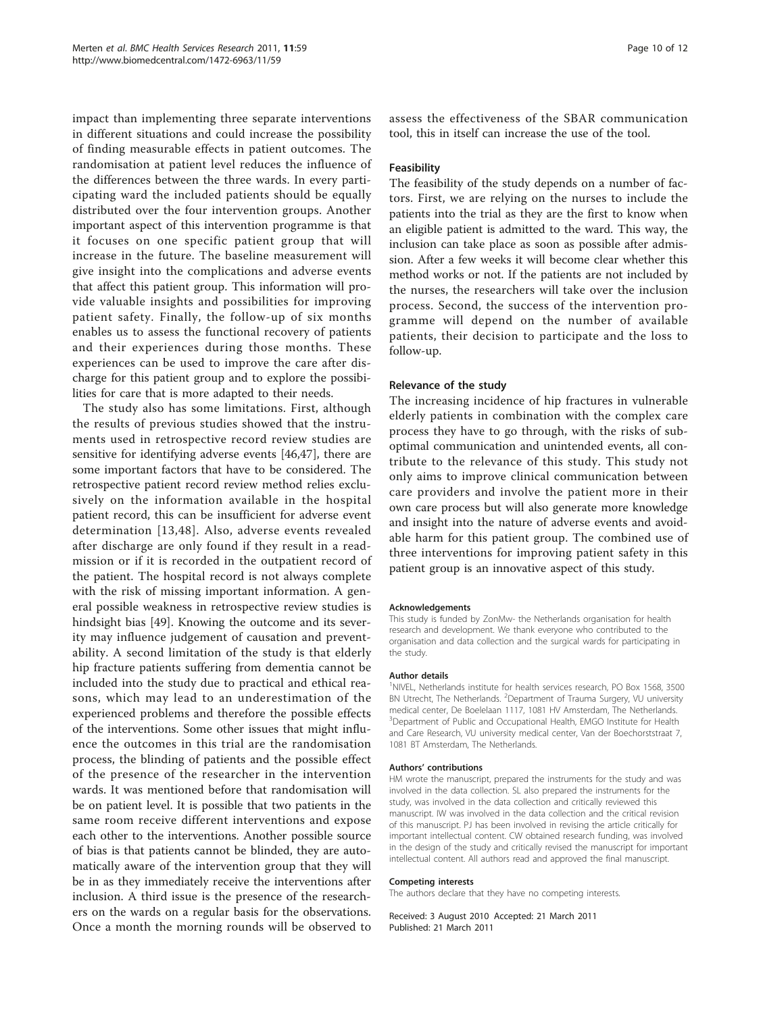impact than implementing three separate interventions in different situations and could increase the possibility of finding measurable effects in patient outcomes. The randomisation at patient level reduces the influence of the differences between the three wards. In every participating ward the included patients should be equally distributed over the four intervention groups. Another important aspect of this intervention programme is that it focuses on one specific patient group that will increase in the future. The baseline measurement will give insight into the complications and adverse events that affect this patient group. This information will provide valuable insights and possibilities for improving patient safety. Finally, the follow-up of six months enables us to assess the functional recovery of patients and their experiences during those months. These experiences can be used to improve the care after discharge for this patient group and to explore the possibilities for care that is more adapted to their needs.

The study also has some limitations. First, although the results of previous studies showed that the instruments used in retrospective record review studies are sensitive for identifying adverse events [[46,47\]](#page-10-0), there are some important factors that have to be considered. The retrospective patient record review method relies exclusively on the information available in the hospital patient record, this can be insufficient for adverse event determination [\[13](#page-10-0),[48](#page-10-0)]. Also, adverse events revealed after discharge are only found if they result in a readmission or if it is recorded in the outpatient record of the patient. The hospital record is not always complete with the risk of missing important information. A general possible weakness in retrospective review studies is hindsight bias [[49\]](#page-11-0). Knowing the outcome and its severity may influence judgement of causation and preventability. A second limitation of the study is that elderly hip fracture patients suffering from dementia cannot be included into the study due to practical and ethical reasons, which may lead to an underestimation of the experienced problems and therefore the possible effects of the interventions. Some other issues that might influence the outcomes in this trial are the randomisation process, the blinding of patients and the possible effect of the presence of the researcher in the intervention wards. It was mentioned before that randomisation will be on patient level. It is possible that two patients in the same room receive different interventions and expose each other to the interventions. Another possible source of bias is that patients cannot be blinded, they are automatically aware of the intervention group that they will be in as they immediately receive the interventions after inclusion. A third issue is the presence of the researchers on the wards on a regular basis for the observations. Once a month the morning rounds will be observed to

assess the effectiveness of the SBAR communication tool, this in itself can increase the use of the tool.

#### Feasibility

The feasibility of the study depends on a number of factors. First, we are relying on the nurses to include the patients into the trial as they are the first to know when an eligible patient is admitted to the ward. This way, the inclusion can take place as soon as possible after admission. After a few weeks it will become clear whether this method works or not. If the patients are not included by the nurses, the researchers will take over the inclusion process. Second, the success of the intervention programme will depend on the number of available patients, their decision to participate and the loss to follow-up.

#### Relevance of the study

The increasing incidence of hip fractures in vulnerable elderly patients in combination with the complex care process they have to go through, with the risks of suboptimal communication and unintended events, all contribute to the relevance of this study. This study not only aims to improve clinical communication between care providers and involve the patient more in their own care process but will also generate more knowledge and insight into the nature of adverse events and avoidable harm for this patient group. The combined use of three interventions for improving patient safety in this patient group is an innovative aspect of this study.

#### Acknowledgements

This study is funded by ZonMw- the Netherlands organisation for health research and development. We thank everyone who contributed to the organisation and data collection and the surgical wards for participating in the study.

#### Author details

<sup>1</sup>NIVEL, Netherlands institute for health services research, PO Box 1568, 3500 BN Utrecht, The Netherlands. <sup>2</sup>Department of Trauma Surgery, VU university medical center, De Boelelaan 1117, 1081 HV Amsterdam, The Netherlands. <sup>3</sup>Department of Public and Occupational Health, EMGO Institute for Health and Care Research, VU university medical center, Van der Boechorststraat 7, 1081 BT Amsterdam, The Netherlands.

#### Authors' contributions

HM wrote the manuscript, prepared the instruments for the study and was involved in the data collection. SL also prepared the instruments for the study, was involved in the data collection and critically reviewed this manuscript. IW was involved in the data collection and the critical revision of this manuscript. PJ has been involved in revising the article critically for important intellectual content. CW obtained research funding, was involved in the design of the study and critically revised the manuscript for important intellectual content. All authors read and approved the final manuscript.

#### Competing interests

The authors declare that they have no competing interests.

Received: 3 August 2010 Accepted: 21 March 2011 Published: 21 March 2011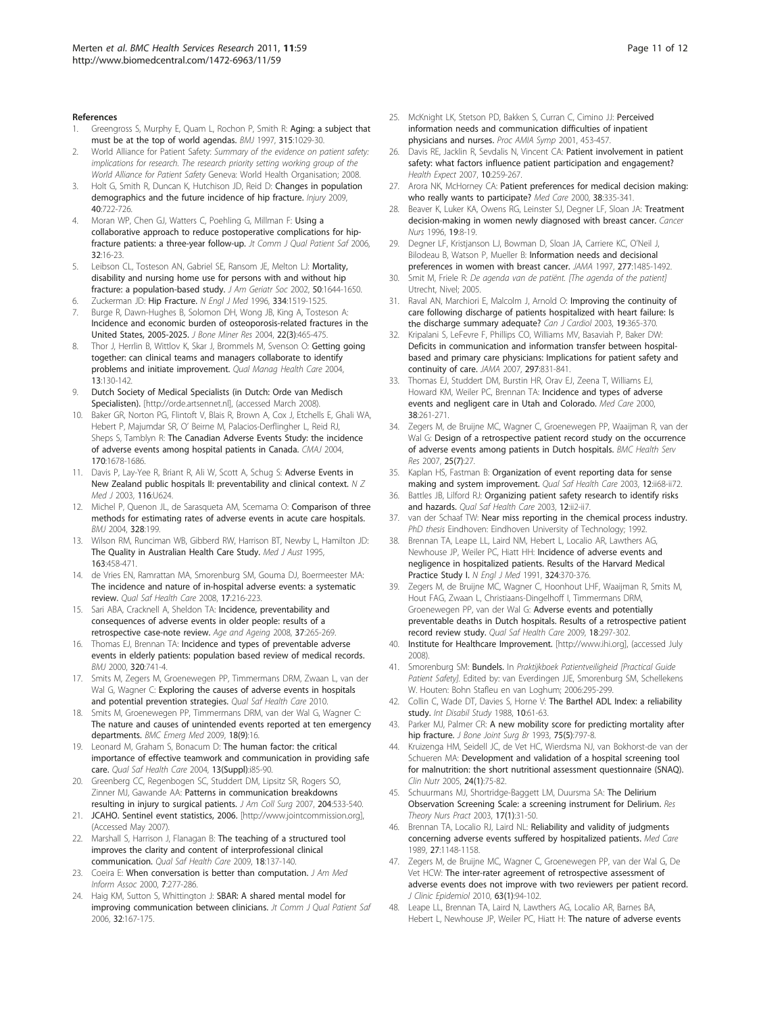#### <span id="page-10-0"></span>References

- 1. Greengross S, Murphy E, Quam L, Rochon P, Smith R: Aging: a subject that must be at the top of world agendas. BMJ 1997, 315:1029-30.
- World Alliance for Patient Safety: Summary of the evidence on patient safety: implications for research. The research priority setting working group of the World Alliance for Patient Safety Geneva: World Health Organisation; 2008.
- 3. Holt G, Smith R, Duncan K, Hutchison JD, Reid D: [Changes in population](http://www.ncbi.nlm.nih.gov/pubmed/19426972?dopt=Abstract) [demographics and the future incidence of hip fracture.](http://www.ncbi.nlm.nih.gov/pubmed/19426972?dopt=Abstract) Injury 2009, 40:722-726.
- 4. Moran WP, Chen GJ, Watters C, Poehling G, Millman F: [Using a](http://www.ncbi.nlm.nih.gov/pubmed/16514935?dopt=Abstract) [collaborative approach to reduce postoperative complications for hip](http://www.ncbi.nlm.nih.gov/pubmed/16514935?dopt=Abstract)[fracture patients: a three-year follow-up.](http://www.ncbi.nlm.nih.gov/pubmed/16514935?dopt=Abstract) Jt Comm J Qual Patient Saf 2006, 32:16-23.
- Leibson CL, Tosteson AN, Gabriel SE, Ransom JE, Melton LJ: [Mortality,](http://www.ncbi.nlm.nih.gov/pubmed/12366617?dopt=Abstract) [disability and nursing home use for persons with and without hip](http://www.ncbi.nlm.nih.gov/pubmed/12366617?dopt=Abstract) [fracture: a population-based study.](http://www.ncbi.nlm.nih.gov/pubmed/12366617?dopt=Abstract) J Am Geriatr Soc 2002, 50:1644-1650.
- 6. Zuckerman JD: [Hip Fracture.](http://www.ncbi.nlm.nih.gov/pubmed/8618608?dopt=Abstract) N Engl J Med 1996, 334:1519-1525.
- 7. Burge R, Dawn-Hughes B, Solomon DH, Wong JB, King A, Tosteson A: Incidence and economic burden of osteoporosis-related fractures in the United States, 2005-2025. J Bone Miner Res 2004, 22(3):465-475.
- 8. Thor J, Herrlin B, Wittlov K, Skar J, Brommels M, Svenson O: [Getting going](http://www.ncbi.nlm.nih.gov/pubmed/15127692?dopt=Abstract) [together: can clinical teams and managers collaborate to identify](http://www.ncbi.nlm.nih.gov/pubmed/15127692?dopt=Abstract) [problems and initiate improvement.](http://www.ncbi.nlm.nih.gov/pubmed/15127692?dopt=Abstract) Qual Manag Health Care 2004, 13:130-142.
- 9. Dutch Society of Medical Specialists (in Dutch: Orde van Medisch Specialisten). [\[http://orde.artsennet.nl](http://orde.artsennet.nl)], (accessed March 2008).
- 10. Baker GR, Norton PG, Flintoft V, Blais R, Brown A, Cox J, Etchells E, Ghali WA, Hebert P, Majumdar SR, O' Beirne M, Palacios-Derflingher L, Reid RJ, Sheps S, Tamblyn R: [The Canadian Adverse Events Study: the incidence](http://www.ncbi.nlm.nih.gov/pubmed/15159366?dopt=Abstract) [of adverse events among hospital patients in Canada.](http://www.ncbi.nlm.nih.gov/pubmed/15159366?dopt=Abstract) CMAJ 2004, 170:1678-1686.
- 11. Davis P, Lay-Yee R, Briant R, Ali W, Scott A, Schug S: [Adverse Events in](http://www.ncbi.nlm.nih.gov/pubmed/14581938?dopt=Abstract) [New Zealand public hospitals II: preventability and clinical context.](http://www.ncbi.nlm.nih.gov/pubmed/14581938?dopt=Abstract) N Z Med J 2003, 116:U624.
- 12. Michel P, Quenon JL, de Sarasqueta AM, Scemama O: [Comparison of three](http://www.ncbi.nlm.nih.gov/pubmed/14739187?dopt=Abstract) [methods for estimating rates of adverse events in acute care hospitals.](http://www.ncbi.nlm.nih.gov/pubmed/14739187?dopt=Abstract) BMJ 2004, 328:199.
- 13. Wilson RM, Runciman WB, Gibberd RW, Harrison BT, Newby L, Hamilton JD: [The Quality in Australian Health Care Study.](http://www.ncbi.nlm.nih.gov/pubmed/7476634?dopt=Abstract) Med J Aust 1995, 163:458-471.
- 14. de Vries EN, Ramrattan MA, Smorenburg SM, Gouma DJ, Boermeester MA: [The incidence and nature of in-hospital adverse events: a systematic](http://www.ncbi.nlm.nih.gov/pubmed/18519629?dopt=Abstract) [review.](http://www.ncbi.nlm.nih.gov/pubmed/18519629?dopt=Abstract) Qual Saf Health Care 2008, 17:216-223.
- 15. Sari ABA, Cracknell A, Sheldon TA: [Incidence, preventability and](http://www.ncbi.nlm.nih.gov/pubmed/18332053?dopt=Abstract) [consequences of adverse events in older people: results of a](http://www.ncbi.nlm.nih.gov/pubmed/18332053?dopt=Abstract) [retrospective case-note review.](http://www.ncbi.nlm.nih.gov/pubmed/18332053?dopt=Abstract) Age and Ageing 2008, 37:265-269.
- 16. Thomas EJ, Brennan TA: Incidence [and types of preventable adverse](http://www.ncbi.nlm.nih.gov/pubmed/10720355?dopt=Abstract) [events in elderly patients: population based review of medical records.](http://www.ncbi.nlm.nih.gov/pubmed/10720355?dopt=Abstract) BMJ 2000, 320:741-4.
- 17. Smits M, Zegers M, Groenewegen PP, Timmermans DRM, Zwaan L, van der Wal G, Wagner C: [Exploring the causes of adverse events in hospitals](http://www.ncbi.nlm.nih.gov/pubmed/20142403?dopt=Abstract) [and potential prevention strategies.](http://www.ncbi.nlm.nih.gov/pubmed/20142403?dopt=Abstract) Qual Saf Health Care 2010.
- 18. Smits M, Groenewegen PP, Timmermans DRM, van der Wal G, Wagner C: The nature and causes of unintended events reported at ten emergency departments. BMC Emerg Med 2009, 18(9):16.
- 19. Leonard M, Graham S, Bonacum D: [The human factor: the critical](http://www.ncbi.nlm.nih.gov/pubmed/15465961?dopt=Abstract) [importance of effective teamwork and communication in providing safe](http://www.ncbi.nlm.nih.gov/pubmed/15465961?dopt=Abstract) [care.](http://www.ncbi.nlm.nih.gov/pubmed/15465961?dopt=Abstract) Qual Saf Health Care 2004, 13(Suppl):i85-90.
- 20. Greenberg CC, Regenbogen SC, Studdert DM, Lipsitz SR, Rogers SO, Zinner MJ, Gawande AA: [Patterns in communication breakdowns](http://www.ncbi.nlm.nih.gov/pubmed/17382211?dopt=Abstract) [resulting in injury to surgical patients.](http://www.ncbi.nlm.nih.gov/pubmed/17382211?dopt=Abstract) J Am Coll Surg 2007, 204:533-540.
- 21. JCAHO. Sentinel event statistics, 2006. [\[http://www.jointcommission.org](http://www.jointcommission.org)], (Accessed May 2007).
- 22. Marshall S, Harrison J, Flanagan B: [The teaching of a structured tool](http://www.ncbi.nlm.nih.gov/pubmed/19342529?dopt=Abstract) [improves the clarity and content of interprofessional clinical](http://www.ncbi.nlm.nih.gov/pubmed/19342529?dopt=Abstract) [communication.](http://www.ncbi.nlm.nih.gov/pubmed/19342529?dopt=Abstract) Qual Saf Health Care 2009, 18:137-140.
- 23. Coeira E: [When conversation is better than computation.](http://www.ncbi.nlm.nih.gov/pubmed/10833164?dopt=Abstract) J Am Med Inform Assoc 2000, 7:277-286.
- 24. Haig KM, Sutton S, Whittington J: [SBAR: A shared mental model for](http://www.ncbi.nlm.nih.gov/pubmed/16617948?dopt=Abstract) [improving communication between clinicians.](http://www.ncbi.nlm.nih.gov/pubmed/16617948?dopt=Abstract) Jt Comm J Qual Patient Saf 2006, 32:167-175.
- 25. McKnight LK, Stetson PD, Bakken S, Curran C, Cimino JJ: [Perceived](http://www.ncbi.nlm.nih.gov/pubmed/11825229?dopt=Abstract) [information needs and communication difficulties of inpatient](http://www.ncbi.nlm.nih.gov/pubmed/11825229?dopt=Abstract) [physicians and nurses.](http://www.ncbi.nlm.nih.gov/pubmed/11825229?dopt=Abstract) Proc AMIA Symp 2001, 453-457.
- 26. Davis RE, Jacklin R, Sevdalis N, Vincent CA: [Patient involvement in patient](http://www.ncbi.nlm.nih.gov/pubmed/17678514?dopt=Abstract) [safety: what factors influence patient participation and engagement?](http://www.ncbi.nlm.nih.gov/pubmed/17678514?dopt=Abstract) Health Expect 2007, 10:259-267.
- 27. Arora NK, McHorney CA: [Patient preferences for medical decision making:](http://www.ncbi.nlm.nih.gov/pubmed/10718358?dopt=Abstract) [who really wants to participate?](http://www.ncbi.nlm.nih.gov/pubmed/10718358?dopt=Abstract) Med Care 2000, 38:335-341.
- Beaver K, Luker KA, Owens RG, Leinster SJ, Degner LF, Sloan JA: [Treatment](http://www.ncbi.nlm.nih.gov/pubmed/8904382?dopt=Abstract) [decision-making in women newly diagnosed with breast cancer.](http://www.ncbi.nlm.nih.gov/pubmed/8904382?dopt=Abstract) Cancer Nurs 1996, 19:8-19.
- 29. Degner LF, Kristjanson LJ, Bowman D, Sloan JA, Carriere KC, O'Neil J, Bilodeau B, Watson P, Mueller B: [Information needs and decisional](http://www.ncbi.nlm.nih.gov/pubmed/9145723?dopt=Abstract) [preferences in women with breast cancer.](http://www.ncbi.nlm.nih.gov/pubmed/9145723?dopt=Abstract) JAMA 1997, 277:1485-1492.
- 30. Smit M, Friele R: De agenda van de patiënt. [The agenda of the patient] Utrecht, Nivel; 2005.
- 31. Raval AN, Marchiori E, Malcolm J, Arnold O: [Improving the continuity of](http://www.ncbi.nlm.nih.gov/pubmed/12704480?dopt=Abstract) [care following discharge of patients hospitalized with heart failure: Is](http://www.ncbi.nlm.nih.gov/pubmed/12704480?dopt=Abstract) the [discharge summary adequate?](http://www.ncbi.nlm.nih.gov/pubmed/12704480?dopt=Abstract) Can J Cardiol 2003, 19:365-370.
- 32. Kripalani S, LeFevre F, Phillips CO, Williams MV, Basaviah P, Baker DW: [Deficits in communication and information transfer between hospital](http://www.ncbi.nlm.nih.gov/pubmed/17327525?dopt=Abstract)[based and primary care physicians: Implications for patient safety and](http://www.ncbi.nlm.nih.gov/pubmed/17327525?dopt=Abstract) [continuity of care.](http://www.ncbi.nlm.nih.gov/pubmed/17327525?dopt=Abstract) JAMA 2007, 297:831-841.
- 33. Thomas EJ, Studdert DM, Burstin HR, Orav EJ, Zeena T, Williams EJ, Howard KM, Weiler PC, Brennan TA: [Incidence and types of adverse](http://www.ncbi.nlm.nih.gov/pubmed/10718351?dopt=Abstract) [events and negligent care in Utah and Colorado.](http://www.ncbi.nlm.nih.gov/pubmed/10718351?dopt=Abstract) Med Care 2000, 38:261-271.
- 34. Zegers M, de Bruijne MC, Wagner C, Groenewegen PP, Waaijman R, van der Wal G: Design of a retrospective patient record study on the occurrence of adverse events among patients in Dutch hospitals. BMC Health Serv Res 2007, 25(7):27.
- 35. Kaplan HS, Fastman B: [Organization of event reporting data for sense](http://www.ncbi.nlm.nih.gov/pubmed/14645899?dopt=Abstract) [making and system improvement.](http://www.ncbi.nlm.nih.gov/pubmed/14645899?dopt=Abstract) Qual Saf Health Care 2003, 12:ii68-ii72.
- 36. Battles JB, Lilford RJ: [Organizing patient safety research to identify risks](http://www.ncbi.nlm.nih.gov/pubmed/14645888?dopt=Abstract) [and hazards.](http://www.ncbi.nlm.nih.gov/pubmed/14645888?dopt=Abstract) Qual Saf Health Care 2003, 12:ii2-ii7.
- 37. van der Schaaf TW: Near miss reporting in the chemical process industry. PhD thesis Eindhoven: Eindhoven University of Technology; 1992.
- 38. Brennan TA, Leape LL, Laird NM, Hebert L, Localio AR, Lawthers AG, Newhouse JP, Weiler PC, Hiatt HH: [Incidence of adverse events and](http://www.ncbi.nlm.nih.gov/pubmed/1987460?dopt=Abstract) [negligence in hospitalized patients. Results of the Harvard Medical](http://www.ncbi.nlm.nih.gov/pubmed/1987460?dopt=Abstract) [Practice Study I.](http://www.ncbi.nlm.nih.gov/pubmed/1987460?dopt=Abstract) N Engl J Med 1991, 324:370-376.
- Zegers M, de Bruijne MC, Wagner C, Hoonhout LHF, Waaijman R, Smits M, Hout FAG, Zwaan L, Christiaans-Dingelhoff I, Timmermans DRM, Groenewegen PP, van der Wal G: [Adverse events and potentially](http://www.ncbi.nlm.nih.gov/pubmed/19651935?dopt=Abstract) [preventable deaths in Dutch hospitals. Results of a retrospective patient](http://www.ncbi.nlm.nih.gov/pubmed/19651935?dopt=Abstract) [record review study.](http://www.ncbi.nlm.nih.gov/pubmed/19651935?dopt=Abstract) Qual Saf Health Care 2009, 18:297-302.
- 40. Institute for Healthcare Improvement. [[http://www.ihi.org\]](http://www.ihi.org), (accessed July 2008).
- 41. Smorenburg SM: Bundels. In Praktijkboek Patientveiligheid [Practical Guide Patient Safety]. Edited by: van Everdingen JJE, Smorenburg SM, Schellekens W. Houten: Bohn Stafleu en van Loghum; 2006:295-299.
- 42. Collin C, Wade DT, Davies S, Horne V: The Barthel ADL Index: a reliability study. Int Disabil Study 1988, 10:61-63.
- 43. Parker MJ, Palmer CR: [A new mobility score for predicting mortality after](http://www.ncbi.nlm.nih.gov/pubmed/8376443?dopt=Abstract) [hip fracture.](http://www.ncbi.nlm.nih.gov/pubmed/8376443?dopt=Abstract) J Bone Joint Surg Br 1993, 75(5):797-8.
- 44. Kruizenga HM, Seidell JC, de Vet HC, Wierdsma NJ, van Bokhorst-de van der Schueren MA: [Development and validation of a hospital screening tool](http://www.ncbi.nlm.nih.gov/pubmed/15681104?dopt=Abstract) [for malnutrition: the short nutritional assessment questionnaire \(SNAQ\).](http://www.ncbi.nlm.nih.gov/pubmed/15681104?dopt=Abstract) Clin Nutr 2005, 24(1):75-82.
- 45. Schuurmans MJ, Shortridge-Baggett LM, Duursma SA: [The Delirium](http://www.ncbi.nlm.nih.gov/pubmed/12751884?dopt=Abstract) [Observation Screening Scale: a screening instrument for Delirium.](http://www.ncbi.nlm.nih.gov/pubmed/12751884?dopt=Abstract) Res Theory Nurs Pract 2003, 17(1):31-50.
- 46. Brennan TA, Localio RJ, Laird NL: [Reliability and validity of judgments](http://www.ncbi.nlm.nih.gov/pubmed/2593729?dopt=Abstract) [concerning adverse events suffered by hospitalized patients.](http://www.ncbi.nlm.nih.gov/pubmed/2593729?dopt=Abstract) Med Care 1989, 27:1148-1158.
- 47. Zegers M, de Bruijne MC, Wagner C, Groenewegen PP, van der Wal G, De Vet HCW: The inter-rater agreement of retrospective assessment of adverse events does not improve with two reviewers per patient record. J Clinic Epidemiol 2010, 63(1):94-102.
- 48. Leape LL, Brennan TA, Laird N, Lawthers AG, Localio AR, Barnes BA, Hebert L, Newhouse JP, Weiler PC, Hiatt H: [The nature of adverse events](http://www.ncbi.nlm.nih.gov/pubmed/1824793?dopt=Abstract)